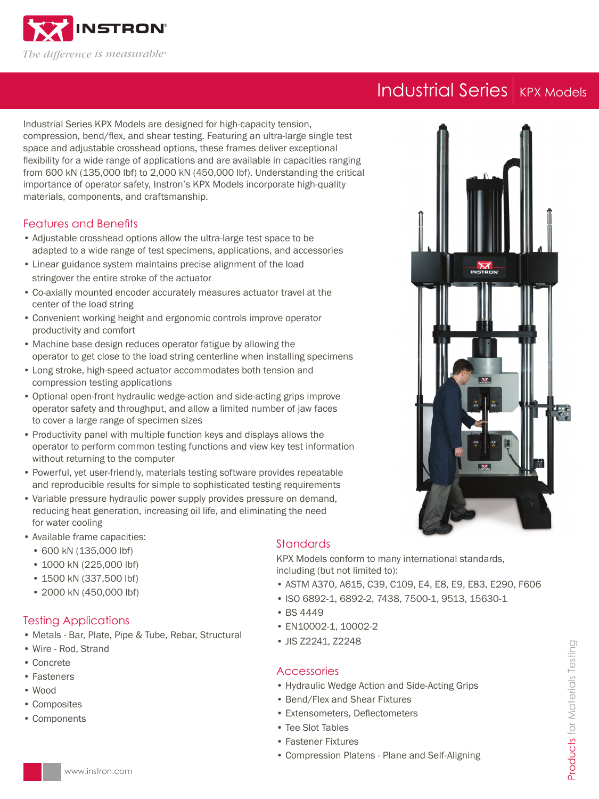

# Industrial Series KPX Models

Industrial Series KPX Models are designed for high-capacity tension, compression, bend/flex, and shear testing. Featuring an ultra-large single test space and adjustable crosshead options, these frames deliver exceptional flexibility for a wide range of applications and are available in capacities ranging from 600 kN (135,000 lbf) to 2,000 kN (450,000 lbf). Understanding the critical importance of operator safety, Instron's KPX Models incorporate high-quality materials, components, and craftsmanship.

### Features and Benefits

- Adjustable crosshead options allow the ultra-large test space to be adapted to a wide range of test specimens, applications, and accessories
- Linear guidance system maintains precise alignment of the load stringover the entire stroke of the actuator
- Co-axially mounted encoder accurately measures actuator travel at the center of the load string
- Convenient working height and ergonomic controls improve operator productivity and comfort
- Machine base design reduces operator fatigue by allowing the operator to get close to the load string centerline when installing specimens
- Long stroke, high-speed actuator accommodates both tension and compression testing applications
- Optional open-front hydraulic wedge-action and side-acting grips improve operator safety and throughput, and allow a limited number of jaw faces to cover a large range of specimen sizes
- Productivity panel with multiple function keys and displays allows the operator to perform common testing functions and view key test information without returning to the computer
- Powerful, yet user-friendly, materials testing software provides repeatable and reproducible results for simple to sophisticated testing requirements
- Variable pressure hydraulic power supply provides pressure on demand, reducing heat generation, increasing oil life, and eliminating the need for water cooling
- Available frame capacities:
	- 600 kN (135,000 lbf)
	- 1000 kN (225,000 lbf)
	- 1500 kN (337,500 lbf)
	- 2000 kN (450,000 lbf)

### Testing Applications

- Metals Bar, Plate, Pipe & Tube, Rebar, Structural
- Wire Rod, Strand
- Concrete
- Fasteners
- Wood
- Composites
- Components

## **Standards**

KPX Models conform to many international standards, including (but not limited to):

- ASTM A370, A615, C39, C109, E4, E8, E9, E83, E290, F606
- ISO 6892-1, 6892-2, 7438, 7500-1, 9513, 15630-1
- BS 4449
- EN10002-1, 10002-2
- JIS Z2241, Z2248

### **Accessories**

- Hydraulic Wedge Action and Side-Acting Grips
- Bend/Flex and Shear Fixtures
- Extensometers, Deflectometers
- Tee Slot Tables
- Fastener Fixtures
- Compression Platens Plane and Self-Aligning